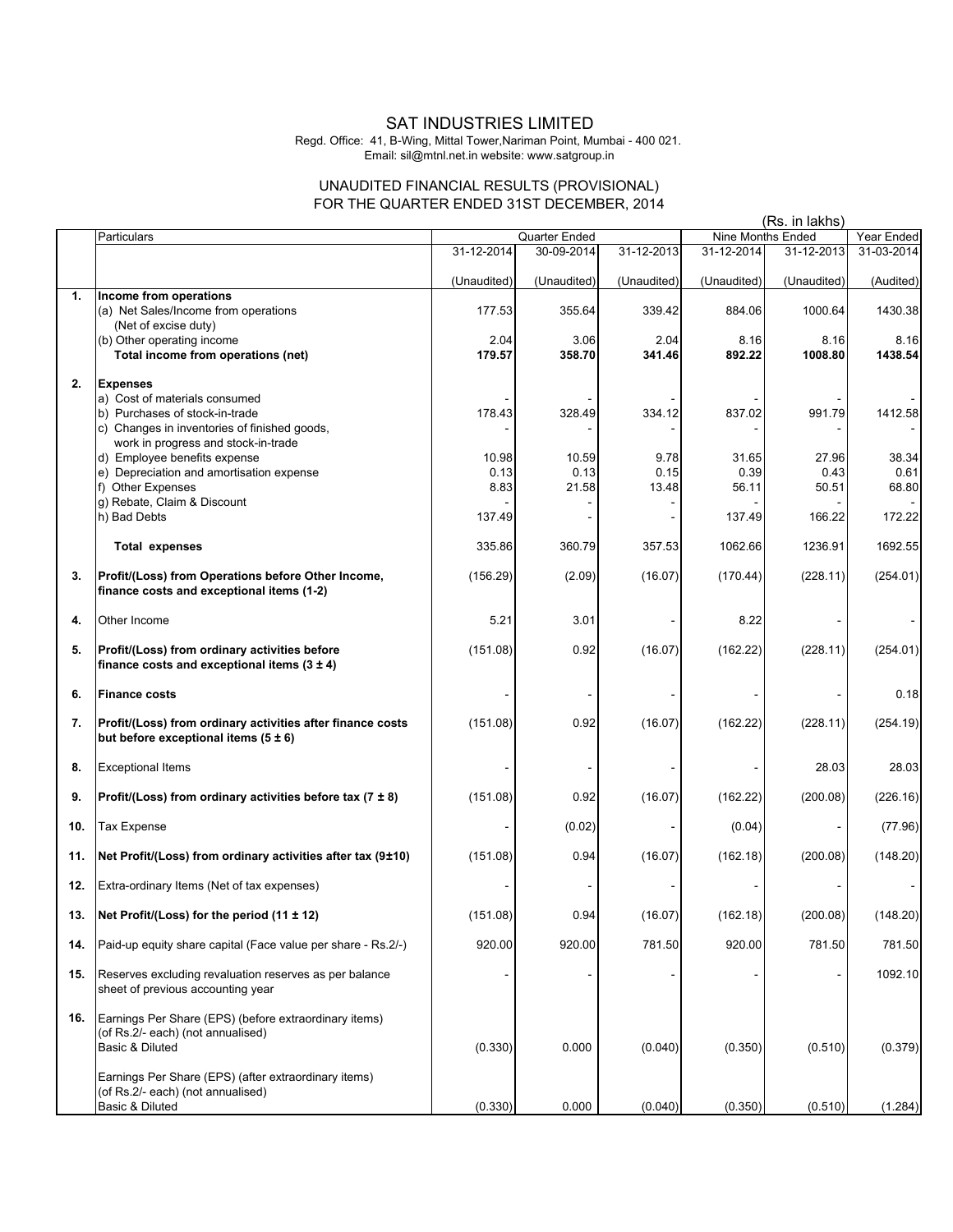## SAT INDUSTRIES LIMITED

Regd. Office: 41, B-Wing, Mittal Tower,Nariman Point, Mumbai - 400 021. Email: sil@mtnl.net.in website: www.satgroup.in

## UNAUDITED FINANCIAL RESULTS (PROVISIONAL) FOR THE QUARTER ENDED 31ST DECEMBER, 2014

|     |                                                                                                               | THE QUAINTEN ENDED 3TOT DEOEMDEN, 2017 |                | (Rs. in lakhs) |                   |                 |                 |
|-----|---------------------------------------------------------------------------------------------------------------|----------------------------------------|----------------|----------------|-------------------|-----------------|-----------------|
|     | Particulars                                                                                                   |                                        | Quarter Ended  |                | Nine Months Ended |                 | Year Ended      |
|     |                                                                                                               | 31-12-2014                             | 30-09-2014     | 31-12-2013     | 31-12-2014        | 31-12-2013      | 31-03-2014      |
|     |                                                                                                               | (Unaudited)                            | (Unaudited)    | (Unaudited)    | (Unaudited)       | (Unaudited)     | (Audited)       |
| 1.  | Income from operations<br>(a) Net Sales/Income from operations                                                | 177.53                                 | 355.64         | 339.42         | 884.06            | 1000.64         | 1430.38         |
|     | (Net of excise duty)                                                                                          |                                        |                |                |                   |                 |                 |
|     | (b) Other operating income<br>Total income from operations (net)                                              | 2.04<br>179.57                         | 3.06<br>358.70 | 2.04<br>341.46 | 8.16<br>892.22    | 8.16<br>1008.80 | 8.16<br>1438.54 |
|     |                                                                                                               |                                        |                |                |                   |                 |                 |
| 2.  | <b>Expenses</b>                                                                                               |                                        |                |                |                   |                 |                 |
|     | a) Cost of materials consumed                                                                                 |                                        |                |                |                   |                 |                 |
|     | b) Purchases of stock-in-trade                                                                                | 178.43                                 | 328.49         | 334.12         | 837.02            | 991.79          | 1412.58         |
|     | c) Changes in inventories of finished goods,                                                                  |                                        |                |                |                   |                 |                 |
|     | work in progress and stock-in-trade<br>d) Employee benefits expense                                           | 10.98                                  | 10.59          | 9.78           | 31.65             | 27.96           | 38.34           |
|     | e) Depreciation and amortisation expense                                                                      | 0.13                                   | 0.13           | 0.15           | 0.39              | 0.43            | 0.61            |
|     | f) Other Expenses                                                                                             | 8.83                                   | 21.58          | 13.48          | 56.11             | 50.51           | 68.80           |
|     | g) Rebate, Claim & Discount                                                                                   |                                        |                |                |                   |                 |                 |
|     | h) Bad Debts                                                                                                  | 137.49                                 |                |                | 137.49            | 166.22          | 172.22          |
|     | <b>Total expenses</b>                                                                                         | 335.86                                 | 360.79         | 357.53         | 1062.66           | 1236.91         | 1692.55         |
| 3.  | Profit/(Loss) from Operations before Other Income,<br>finance costs and exceptional items (1-2)               | (156.29)                               | (2.09)         | (16.07)        | (170.44)          | (228.11)        | (254.01)        |
|     |                                                                                                               |                                        |                |                |                   |                 |                 |
| 4.  | Other Income                                                                                                  | 5.21                                   | 3.01           |                | 8.22              |                 |                 |
| 5.  | Profit/(Loss) from ordinary activities before                                                                 | (151.08)                               | 0.92           | (16.07)        | (162.22)          | (228.11)        | (254.01)        |
|     | finance costs and exceptional items $(3 \pm 4)$                                                               |                                        |                |                |                   |                 |                 |
| 6.  | <b>Finance costs</b>                                                                                          |                                        |                |                |                   |                 | 0.18            |
| 7.  | Profit/(Loss) from ordinary activities after finance costs                                                    | (151.08)                               | 0.92           | (16.07)        | (162.22)          | (228.11)        | (254.19)        |
|     | but before exceptional items $(5 \pm 6)$                                                                      |                                        |                |                |                   |                 |                 |
| 8.  | <b>Exceptional Items</b>                                                                                      |                                        |                |                |                   | 28.03           | 28.03           |
| 9.  | Profit/(Loss) from ordinary activities before tax (7 $\pm$ 8)                                                 | (151.08)                               | 0.92           | (16.07)        | (162.22)          | (200.08)        | (226.16)        |
| 10. | <b>Tax Expense</b>                                                                                            |                                        | (0.02)         |                | (0.04)            |                 | (77.96)         |
| 11. | Net Profit/(Loss) from ordinary activities after tax (9±10)                                                   | (151.08)                               | 0.94           | (16.07)        | (162.18)          | (200.08)        | (148.20)        |
| 12. | Extra-ordinary Items (Net of tax expenses)                                                                    |                                        |                |                |                   |                 |                 |
| 13. | Net Profit/(Loss) for the period $(11 \pm 12)$                                                                | (151.08)                               | 0.94           | (16.07)        | (162.18)          | (200.08)        | (148.20)        |
| 14. | Paid-up equity share capital (Face value per share - Rs.2/-)                                                  | 920.00                                 | 920.00         | 781.50         | 920.00            | 781.50          | 781.50          |
| 15. | Reserves excluding revaluation reserves as per balance<br>sheet of previous accounting year                   |                                        |                |                |                   |                 | 1092.10         |
| 16. | Earnings Per Share (EPS) (before extraordinary items)<br>(of Rs.2/- each) (not annualised)<br>Basic & Diluted | (0.330)                                | 0.000          | (0.040)        | (0.350)           | (0.510)         | (0.379)         |
|     | Earnings Per Share (EPS) (after extraordinary items)<br>(of Rs.2/- each) (not annualised)<br>Basic & Diluted  | (0.330)                                | 0.000          | (0.040)        | (0.350)           | (0.510)         | (1.284)         |
|     |                                                                                                               |                                        |                |                |                   |                 |                 |